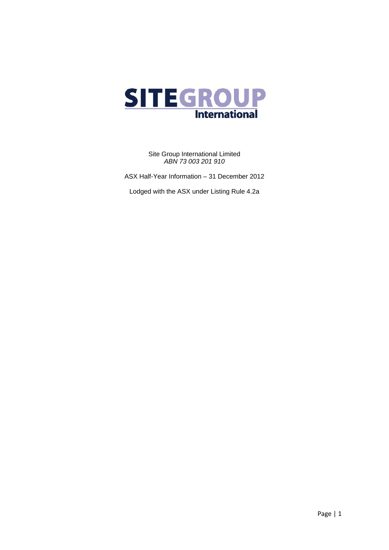

Site Group International Limited *ABN 73 003 201 910* 

ASX Half-Year Information – 31 December 2012

Lodged with the ASX under Listing Rule 4.2a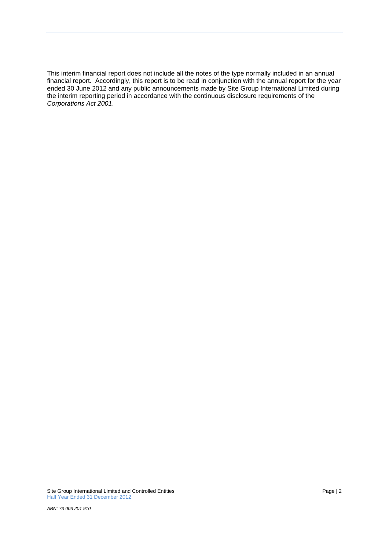This interim financial report does not include all the notes of the type normally included in an annual financial report. Accordingly, this report is to be read in conjunction with the annual report for the year ended 30 June 2012 and any public announcements made by Site Group International Limited during the interim reporting period in accordance with the continuous disclosure requirements of the *Corporations Act 2001*.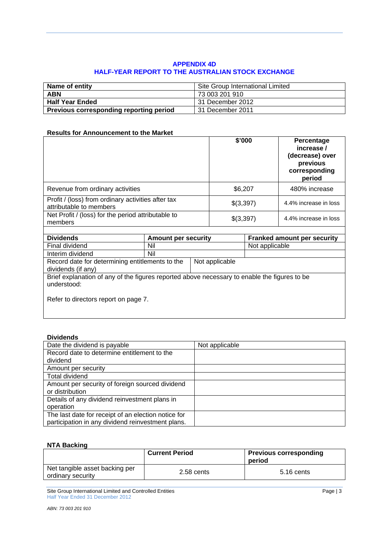## **APPENDIX 4D HALF-YEAR REPORT TO THE AUSTRALIAN STOCK EXCHANGE**

| Name of entity                          | Site Group International Limited |
|-----------------------------------------|----------------------------------|
| <b>ABN</b>                              | 73 003 201 910                   |
| <b>Half Year Ended</b>                  | l 31 December 2012               |
| Previous corresponding reporting period | <b>131 December 2011</b>         |

## **Results for Announcement to the Market**

|                                                                               | \$'000    | Percentage<br>increase /<br>(decrease) over<br>previous<br>corresponding<br>period |
|-------------------------------------------------------------------------------|-----------|------------------------------------------------------------------------------------|
| Revenue from ordinary activities                                              | \$6,207   | 480% increase                                                                      |
| Profit / (loss) from ordinary activities after tax<br>attributable to members | \$(3,397) | 4.4% increase in loss                                                              |
| Net Profit / (loss) for the period attributable to<br>members                 | \$(3,397) | 4.4% increase in loss                                                              |
|                                                                               |           |                                                                                    |

| <b>Dividends</b>                                                                                            | <b>Amount per security</b> |                | <b>Franked amount per security</b> |  |
|-------------------------------------------------------------------------------------------------------------|----------------------------|----------------|------------------------------------|--|
| Final dividend                                                                                              | Nil                        |                | Not applicable                     |  |
| Interim dividend                                                                                            | Nil                        |                |                                    |  |
| Record date for determining entitlements to the                                                             |                            | Not applicable |                                    |  |
| dividends (if any)                                                                                          |                            |                |                                    |  |
| Brief explanation of any of the figures reported above necessary to enable the figures to be<br>understood: |                            |                |                                    |  |
| Refer to directors report on page 7.                                                                        |                            |                |                                    |  |

# **Dividends**

| Date the dividend is payable                        | Not applicable |
|-----------------------------------------------------|----------------|
| Record date to determine entitlement to the         |                |
| dividend                                            |                |
| Amount per security                                 |                |
| Total dividend                                      |                |
| Amount per security of foreign sourced dividend     |                |
| or distribution                                     |                |
| Details of any dividend reinvestment plans in       |                |
| operation                                           |                |
| The last date for receipt of an election notice for |                |
| participation in any dividend reinvestment plans.   |                |

### **NTA Backing**

|                                                     | <b>Current Period</b><br><b>Previous corresponding</b><br>period |            |
|-----------------------------------------------------|------------------------------------------------------------------|------------|
| Net tangible asset backing per<br>ordinary security | 2.58 cents                                                       | 5.16 cents |

Site Group International Limited and Controlled Entities Page | 3 Half Year Ended 31 December 2012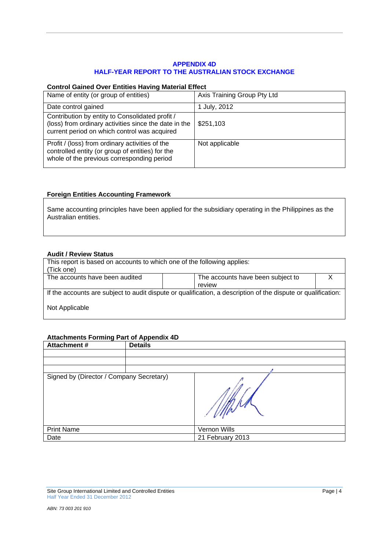## **APPENDIX 4D HALF-YEAR REPORT TO THE AUSTRALIAN STOCK EXCHANGE**

## **Control Gained Over Entities Having Material Effect**

| Name of entity (or group of entities)                                                                                                                    | Axis Training Group Pty Ltd |
|----------------------------------------------------------------------------------------------------------------------------------------------------------|-----------------------------|
| Date control gained                                                                                                                                      | 1 July, 2012                |
| Contribution by entity to Consolidated profit /<br>(loss) from ordinary activities since the date in the<br>current period on which control was acquired | \$251,103                   |
| Profit / (loss) from ordinary activities of the<br>controlled entity (or group of entities) for the<br>whole of the previous corresponding period        | Not applicable              |

## **Foreign Entities Accounting Framework**

Same accounting principles have been applied for the subsidiary operating in the Philippines as the Australian entities.

# **Audit / Review Status**

| This report is based on accounts to which one of the following applies:                                       |                                   |  |  |  |
|---------------------------------------------------------------------------------------------------------------|-----------------------------------|--|--|--|
| (Tick one)                                                                                                    |                                   |  |  |  |
| The accounts have been audited                                                                                | The accounts have been subject to |  |  |  |
|                                                                                                               | review                            |  |  |  |
| If the accounts are subject to audit dispute or qualification, a description of the dispute or qualification: |                                   |  |  |  |
| Not Applicable                                                                                                |                                   |  |  |  |

## **Attachments Forming Part of Appendix 4D**

| --<br>Attachment #                       | . .<br><b>Details</b> |                  |
|------------------------------------------|-----------------------|------------------|
|                                          |                       |                  |
|                                          |                       |                  |
|                                          |                       |                  |
| Signed by (Director / Company Secretary) |                       |                  |
| <b>Print Name</b>                        |                       | Vernon Wills     |
| Date                                     |                       | 21 February 2013 |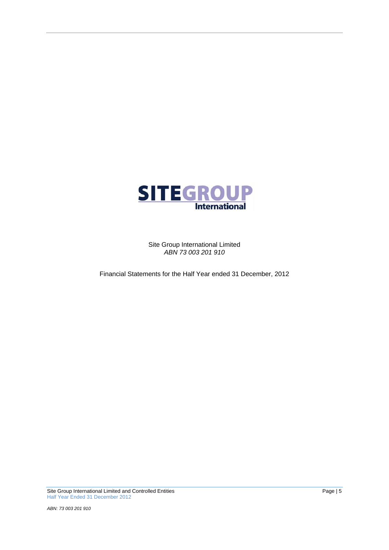

Site Group International Limited *ABN 73 003 201 910* 

Financial Statements for the Half Year ended 31 December, 2012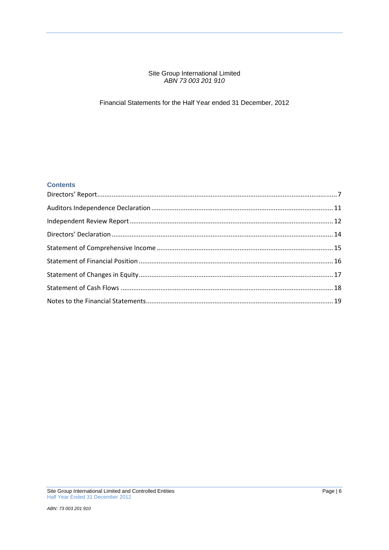## Site Group International Limited *ABN 73 003 201 910*

# Financial Statements for the Half Year ended 31 December, 2012

## **Contents**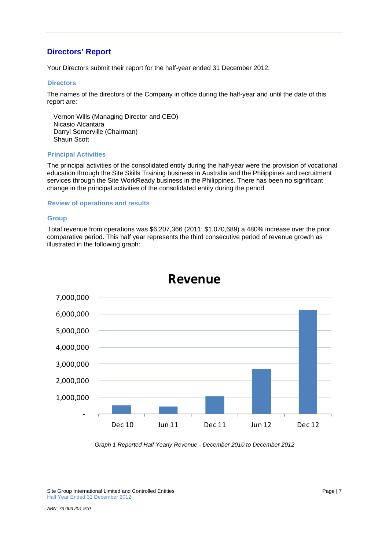# **Directors' Report**

Your Directors submit their report for the half-year ended 31 December 2012.

### **Directors**

The names of the directors of the Company in office during the half-year and until the date of this report are:

Vernon Wills (Managing Director and CEO) Nicasio Alcantara Darryl Somerville (Chairman) Shaun Scott

## **Principal Activities**

The principal activities of the consolidated entity during the half-year were the provision of vocational education through the Site Skills Training business in Australia and the Philippines and recruitment services through the Site WorkReady business in the Philippines. There has been no significant change in the principal activities of the consolidated entity during the period.

### **Review of operations and results**

## **Group**

Total revenue from operations was \$6,207,366 (2011: \$1,070,689) a 480% increase over the prior comparative period. This half year represents the third consecutive period of revenue growth as illustrated in the following graph:



# **Revenue**

*Graph 1 Reported Half Yearly Revenue - December 2010 to December 2012* 

Site Group International Limited and Controlled Entities **Page 17 Page 17** Half Year Ended 31 December 2012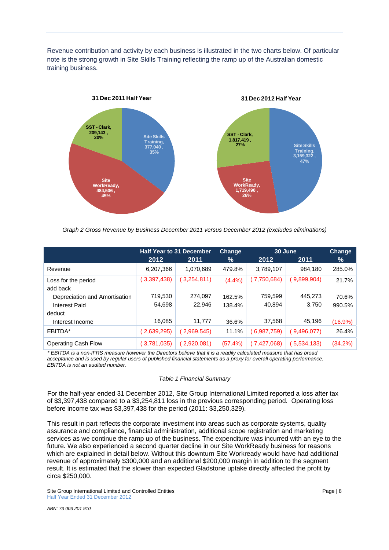Revenue contribution and activity by each business is illustrated in the two charts below. Of particular note is the strong growth in Site Skills Training reflecting the ramp up of the Australian domestic training business.



*Graph 2 Gross Revenue by Business December 2011 versus December 2012 (excludes eliminations)* 

|                               | <b>Half Year to 31 December</b> |             | 30 June<br><b>Change</b> |             | <b>Change</b> |         |
|-------------------------------|---------------------------------|-------------|--------------------------|-------------|---------------|---------|
|                               | 2012                            | 2011        | %                        | 2012        | 2011          | %       |
| Revenue                       | 6,207,366                       | 1,070,689   | 479.8%                   | 3,789,107   | 984,180       | 285.0%  |
| Loss for the period           | (3,397,438)                     | (3,254,811) | (4.4%)                   | (7,750,684) | 9,899,904)    | 21.7%   |
| add back                      |                                 |             |                          |             |               |         |
| Depreciation and Amortisation | 719,530                         | 274,097     | 162.5%                   | 759,599     | 445,273       | 70.6%   |
| <b>Interest Paid</b>          | 54,698                          | 22,946      | 138.4%                   | 40,894      | 3,750         | 990.5%  |
| deduct                        |                                 |             |                          |             |               |         |
| Interest Income               | 16,085                          | 11,777      | 36.6%                    | 37,568      | 45,196        | (16.9%) |
| EBITDA*                       | (2,639,295)                     | (2,969,545) | 11.1%                    | 6,987,759)  | 9,496,077)    | 26.4%   |
| <b>Operating Cash Flow</b>    | (3,781,035)                     | (2,920,081) | $(57.4\%)$               | (7,427,068) | 5,534,133)    | (34.2%) |

*\* EBITDA is a non-IFRS measure however the Directors believe that it is a readily calculated measure that has broad acceptance and is used by regular users of published financial statements as a proxy for overall operating performance. EBITDA is not an audited number.* 

#### *Table 1 Financial Summary*

For the half-year ended 31 December 2012, Site Group International Limited reported a loss after tax of \$3,397,438 compared to a \$3,254,811 loss in the previous corresponding period. Operating loss before income tax was \$3,397,438 for the period (2011: \$3,250,329).

This result in part reflects the corporate investment into areas such as corporate systems, quality assurance and compliance, financial administration, additional scope registration and marketing services as we continue the ramp up of the business. The expenditure was incurred with an eye to the future. We also experienced a second quarter decline in our Site WorkReady business for reasons which are explained in detail below. Without this downturn Site Workready would have had additional revenue of approximately \$300,000 and an additional \$200,000 margin in addition to the segment result. It is estimated that the slower than expected Gladstone uptake directly affected the profit by circa \$250,000.

Site Group International Limited and Controlled Entities **Page 18** Page | 8 Half Year Ended 31 December 2012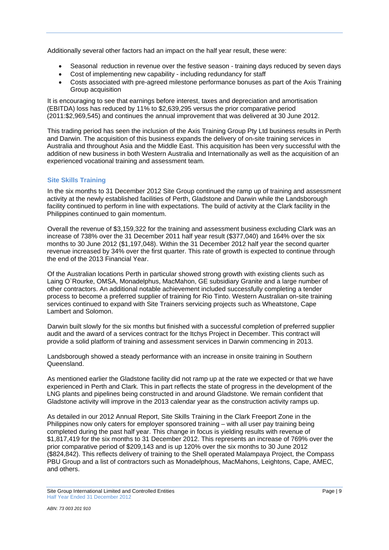Additionally several other factors had an impact on the half year result, these were:

- Seasonal reduction in revenue over the festive season training days reduced by seven days
- Cost of implementing new capability including redundancy for staff
- Costs associated with pre-agreed milestone performance bonuses as part of the Axis Training Group acquisition

It is encouraging to see that earnings before interest, taxes and depreciation and amortisation (EBITDA) loss has reduced by 11% to \$2,639,295 versus the prior comparative period (2011:\$2,969,545) and continues the annual improvement that was delivered at 30 June 2012.

This trading period has seen the inclusion of the Axis Training Group Pty Ltd business results in Perth and Darwin. The acquisition of this business expands the delivery of on-site training services in Australia and throughout Asia and the Middle East. This acquisition has been very successful with the addition of new business in both Western Australia and Internationally as well as the acquisition of an experienced vocational training and assessment team.

## **Site Skills Training**

In the six months to 31 December 2012 Site Group continued the ramp up of training and assessment activity at the newly established facilities of Perth, Gladstone and Darwin while the Landsborough facility continued to perform in line with expectations. The build of activity at the Clark facility in the Philippines continued to gain momentum.

Overall the revenue of \$3,159,322 for the training and assessment business excluding Clark was an increase of 738% over the 31 December 2011 half year result (\$377,040) and 164% over the six months to 30 June 2012 (\$1,197,048). Within the 31 December 2012 half year the second quarter revenue increased by 34% over the first quarter. This rate of growth is expected to continue through the end of the 2013 Financial Year.

Of the Australian locations Perth in particular showed strong growth with existing clients such as Laing O`Rourke, OMSA, Monadelphus, MacMahon, GE subsidiary Granite and a large number of other contractors. An additional notable achievement included successfully completing a tender process to become a preferred supplier of training for Rio Tinto. Western Australian on-site training services continued to expand with Site Trainers servicing projects such as Wheatstone, Cape Lambert and Solomon.

Darwin built slowly for the six months but finished with a successful completion of preferred supplier audit and the award of a services contract for the Itchys Project in December. This contract will provide a solid platform of training and assessment services in Darwin commencing in 2013.

Landsborough showed a steady performance with an increase in onsite training in Southern Queensland.

As mentioned earlier the Gladstone facility did not ramp up at the rate we expected or that we have experienced in Perth and Clark. This in part reflects the state of progress in the development of the LNG plants and pipelines being constructed in and around Gladstone. We remain confident that Gladstone activity will improve in the 2013 calendar year as the construction activity ramps up.

As detailed in our 2012 Annual Report, Site Skills Training in the Clark Freeport Zone in the Philippines now only caters for employer sponsored training – with all user pay training being completed during the past half year. This change in focus is yielding results with revenue of \$1,817,419 for the six months to 31 December 2012. This represents an increase of 769% over the prior comparative period of \$209,143 and is up 120% over the six months to 30 June 2012 (\$824,842). This reflects delivery of training to the Shell operated Malampaya Project, the Compass PBU Group and a list of contractors such as Monadelphous, MacMahons, Leightons, Cape, AMEC, and others.

Site Group International Limited and Controlled Entities **Page 19** Page | 9 Half Year Ended 31 December 2012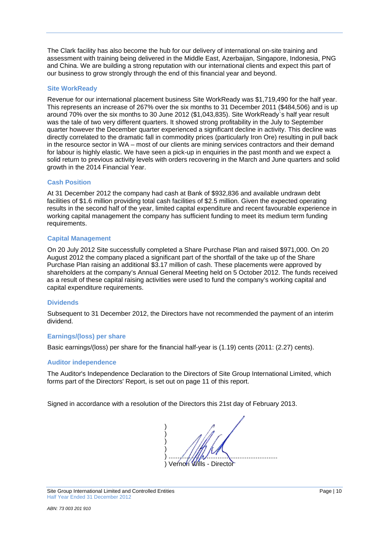The Clark facility has also become the hub for our delivery of international on-site training and assessment with training being delivered in the Middle East, Azerbaijan, Singapore, Indonesia, PNG and China. We are building a strong reputation with our international clients and expect this part of our business to grow strongly through the end of this financial year and beyond.

## **Site WorkReady**

Revenue for our international placement business Site WorkReady was \$1,719,490 for the half year. This represents an increase of 267% over the six months to 31 December 2011 (\$484,506) and is up around 70% over the six months to 30 June 2012 (\$1,043,835). Site WorkReady`s half year result was the tale of two very different quarters. It showed strong profitability in the July to September quarter however the December quarter experienced a significant decline in activity. This decline was directly correlated to the dramatic fall in commodity prices (particularly Iron Ore) resulting in pull back in the resource sector in WA – most of our clients are mining services contractors and their demand for labour is highly elastic. We have seen a pick-up in enquiries in the past month and we expect a solid return to previous activity levels with orders recovering in the March and June quarters and solid growth in the 2014 Financial Year.

### **Cash Position**

At 31 December 2012 the company had cash at Bank of \$932,836 and available undrawn debt facilities of \$1.6 million providing total cash facilities of \$2.5 million. Given the expected operating results in the second half of the year, limited capital expenditure and recent favourable experience in working capital management the company has sufficient funding to meet its medium term funding requirements.

### **Capital Management**

On 20 July 2012 Site successfully completed a Share Purchase Plan and raised \$971,000. On 20 August 2012 the company placed a significant part of the shortfall of the take up of the Share Purchase Plan raising an additional \$3.17 million of cash. These placements were approved by shareholders at the company's Annual General Meeting held on 5 October 2012. The funds received as a result of these capital raising activities were used to fund the company's working capital and capital expenditure requirements.

## **Dividends**

Subsequent to 31 December 2012, the Directors have not recommended the payment of an interim dividend.

### **Earnings/(loss) per share**

Basic earnings/(loss) per share for the financial half-year is (1.19) cents (2011: (2.27) cents).

### **Auditor independence**

The Auditor's Independence Declaration to the Directors of Site Group International Limited, which forms part of the Directors' Report, is set out on page 11 of this report.

Signed in accordance with a resolution of the Directors this 21st day of February 2013.

 $)$  $)$  $)$  $)$  ) ............................................................ Vernon Wills - Director

Site Group International Limited and Controlled Entities **Page | 10** Page | 10 Half Year Ended 31 December 2012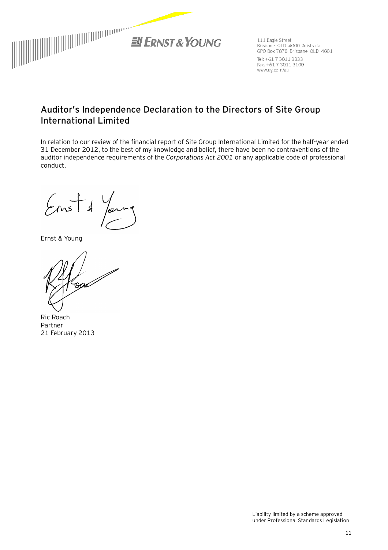

111 Eagle Street Brisbane QLD :4000 Australia GPO Box 7878 Brisbane QLD 4001 Tel: +61 7 3011 3333 Fax: +617 3011 3100 www.ey.com/au

# **Auditor's Independence Declaration to the Directors of Site Group International Limited**

In relation to our review of the financial report of Site Group International Limited for the half-year ended 31 December 2012, to the best of my knowledge and belief, there have been no contraventions of the auditor independence requirements of the *Corporations Act 2001* or any applicable code of professional conduct.

 $\epsilon$ Å

Ernst & Young

Ric Roach Partner 21 February 2013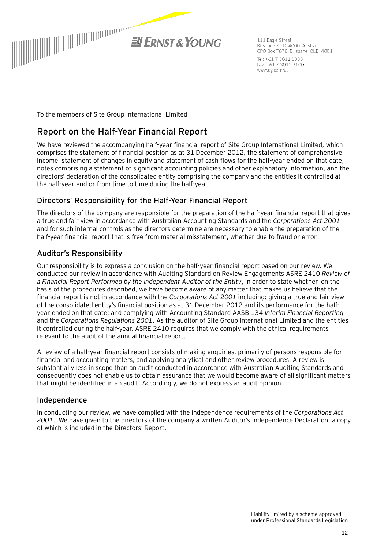

111 Eagle Street Brisbane QLD 4000 Australia GPO Box 7878 Brisbane QLD 4001 Tel: +61 7 3011 3333 Fax: +617 3011 3100 www.ey.com/au

To the members of Site Group International Limited

# **Report on the Half-Year Financial Report**

We have reviewed the accompanying half-year financial report of Site Group International Limited, which comprises the statement of financial position as at 31 December 2012, the statement of comprehensive income, statement of changes in equity and statement of cash flows for the half-year ended on that date, notes comprising a statement of significant accounting policies and other explanatory information, and the directors' declaration of the consolidated entity comprising the company and the entities it controlled at the half-year end or from time to time during the half-year.

# Directors' Responsibility for the Half-Year Financial Report

The directors of the company are responsible for the preparation of the half-year financial report that gives a true and fair view in accordance with Australian Accounting Standards and the *Corporations Act 2001* and for such internal controls as the directors determine are necessary to enable the preparation of the half-year financial report that is free from material misstatement, whether due to fraud or error.

# Auditor's Responsibility

Our responsibility is to express a conclusion on the half-year financial report based on our review. We conducted our review in accordance with Auditing Standard on Review Engagements ASRE 2410 *Review of a Financial Report Performed by the Independent Auditor of the Entity*, in order to state whether, on the basis of the procedures described, we have become aware of any matter that makes us believe that the financial report is not in accordance with the *Corporations Act 2001* including: giving a true and fair view of the consolidated entity's financial position as at 31 December 2012 and its performance for the halfyear ended on that date; and complying with Accounting Standard AASB 134 *Interim Financial Reporting* and the *Corporations Regulations 2001*. As the auditor of Site Group International Limited and the entities it controlled during the half-year, ASRE 2410 requires that we comply with the ethical requirements relevant to the audit of the annual financial report.

A review of a half-year financial report consists of making enquiries, primarily of persons responsible for financial and accounting matters, and applying analytical and other review procedures. A review is substantially less in scope than an audit conducted in accordance with Australian Auditing Standards and consequently does not enable us to obtain assurance that we would become aware of all significant matters that might be identified in an audit. Accordingly, we do not express an audit opinion.

# Independence

In conducting our review, we have complied with the independence requirements of the *Corporations Act 2001*. We have given to the directors of the company a written Auditor's Independence Declaration, a copy of which is included in the Directors' Report.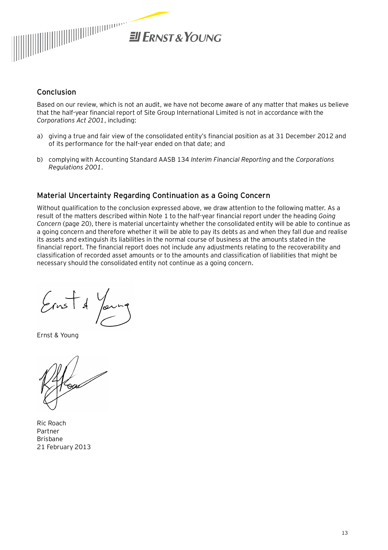

# Conclusion

Based on our review, which is not an audit, we have not become aware of any matter that makes us believe that the half-year financial report of Site Group International Limited is not in accordance with the *Corporations Act 2001*, including:

- a) giving a true and fair view of the consolidated entity's financial position as at 31 December 2012 and of its performance for the half-year ended on that date; and
- b) complying with Accounting Standard AASB 134 *Interim Financial Reporting* and the *Corporations Regulations 2001*.

# **Material Uncertainty Regarding Continuation as a Going Concern**

Without qualification to the conclusion expressed above, we draw attention to the following matter. As a result of the matters described within Note 1 to the half-year financial report under the heading *Going Concern* (page 20), there is material uncertainty whether the consolidated entity will be able to continue as a going concern and therefore whether it will be able to pay its debts as and when they fall due and realise its assets and extinguish its liabilities in the normal course of business at the amounts stated in the financial report. The financial report does not include any adjustments relating to the recoverability and classification of recorded asset amounts or to the amounts and classification of liabilities that might be necessary should the consolidated entity not continue as a going concern.

 $\frac{1}{2}$ Jor

Ernst & Young

Ric Roach Partner Brisbane 21 February 2013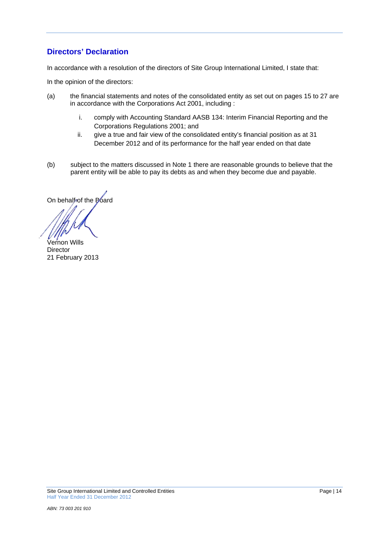# **Directors' Declaration**

In accordance with a resolution of the directors of Site Group International Limited, I state that:

In the opinion of the directors:

- (a) the financial statements and notes of the consolidated entity as set out on pages 15 to 27 are in accordance with the Corporations Act 2001, including :
	- i. comply with Accounting Standard AASB 134: Interim Financial Reporting and the Corporations Regulations 2001; and
	- ii. give a true and fair view of the consolidated entity's financial position as at 31 December 2012 and of its performance for the half year ended on that date
- (b) subject to the matters discussed in Note 1 there are reasonable grounds to believe that the parent entity will be able to pay its debts as and when they become due and payable.

On behalf of the Board

Vernon Wills **Director** 21 February 2013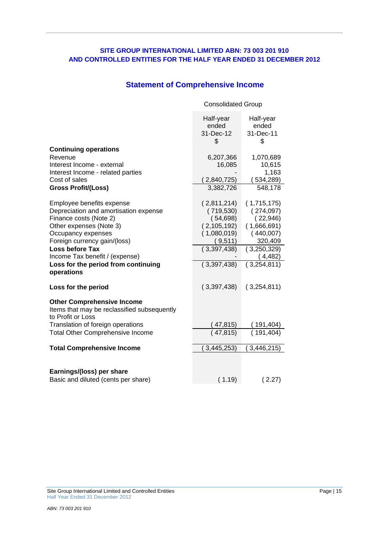# **Statement of Comprehensive Income**

|                                                                                                       | <b>Consolidated Group</b>             |                                       |
|-------------------------------------------------------------------------------------------------------|---------------------------------------|---------------------------------------|
|                                                                                                       | Half-year<br>ended<br>31-Dec-12<br>\$ | Half-year<br>ended<br>31-Dec-11<br>\$ |
| <b>Continuing operations</b>                                                                          |                                       |                                       |
| Revenue<br>Interest Income - external                                                                 | 6,207,366<br>16,085                   | 1,070,689<br>10,615                   |
| Interest Income - related parties                                                                     |                                       | 1,163                                 |
| Cost of sales                                                                                         | (2,840,725)                           | (534, 289)                            |
| <b>Gross Profit/(Loss)</b>                                                                            | 3,382,726                             | 548,178                               |
| Employee benefits expense                                                                             | (2,811,214)                           | (1,715,175)                           |
| Depreciation and amortisation expense                                                                 | (719, 530)                            | (274,097)                             |
| Finance costs (Note 2)                                                                                | (54,698)                              | (22,946)                              |
| Other expenses (Note 3)                                                                               | (2, 105, 192)                         | (1,666,691)                           |
| Occupancy expenses<br>Foreign currency gain/(loss)                                                    | (1,080,019)<br>(9,511)                | (440,007)<br>320,409                  |
| <b>Loss before Tax</b>                                                                                | (3,397,438)                           | (3,250,329)                           |
| Income Tax benefit / (expense)                                                                        |                                       | (4, 482)                              |
| Loss for the period from continuing<br>operations                                                     | (3,397,438)                           | $\sqrt{(3,254,811)}$                  |
| Loss for the period                                                                                   | (3,397,438)                           | (3,254,811)                           |
| <b>Other Comprehensive Income</b><br>Items that may be reclassified subsequently<br>to Profit or Loss |                                       |                                       |
| Translation of foreign operations                                                                     | (47, 815)                             | 191,404)                              |
| <b>Total Other Comprehensive Income</b>                                                               | (47, 815)                             | (191, 404)                            |
| <b>Total Comprehensive Income</b>                                                                     | 3,445,253)                            | 3,446,215)                            |
|                                                                                                       |                                       |                                       |
| Earnings/(loss) per share<br>Basic and diluted (cents per share)                                      | (1.19)                                | (2.27)                                |
|                                                                                                       |                                       |                                       |

Site Group International Limited and Controlled Entities Page | 15 Half Year Ended 31 December 2012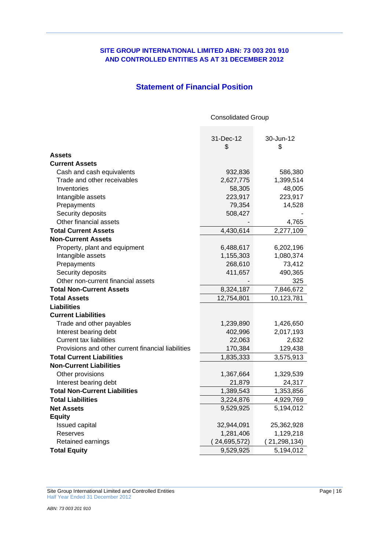# **SITE GROUP INTERNATIONAL LIMITED ABN: 73 003 201 910 AND CONTROLLED ENTITIES AS AT 31 DECEMBER 2012**

# **Statement of Financial Position**

Consolidated Group

|                                                    | 31-Dec-12   | 30-Jun-12   |
|----------------------------------------------------|-------------|-------------|
|                                                    | \$          | \$          |
| <b>Assets</b>                                      |             |             |
| <b>Current Assets</b>                              |             |             |
| Cash and cash equivalents                          | 932,836     | 586,380     |
| Trade and other receivables                        | 2,627,775   | 1,399,514   |
| Inventories                                        | 58,305      | 48,005      |
| Intangible assets                                  | 223,917     | 223,917     |
| Prepayments                                        | 79,354      | 14,528      |
| Security deposits                                  | 508,427     |             |
| Other financial assets                             |             | 4,765       |
| <b>Total Current Assets</b>                        | 4,430,614   | 2,277,109   |
| <b>Non-Current Assets</b>                          |             |             |
| Property, plant and equipment                      | 6,488,617   | 6,202,196   |
| Intangible assets                                  | 1,155,303   | 1,080,374   |
| Prepayments                                        | 268,610     | 73,412      |
| Security deposits                                  | 411,657     | 490,365     |
| Other non-current financial assets                 |             | 325         |
| <b>Total Non-Current Assets</b>                    | 8,324,187   | 7,846,672   |
| <b>Total Assets</b>                                | 12,754,801  | 10,123,781  |
| <b>Liabilities</b>                                 |             |             |
| <b>Current Liabilities</b>                         |             |             |
| Trade and other payables                           | 1,239,890   | 1,426,650   |
| Interest bearing debt                              | 402,996     | 2,017,193   |
| <b>Current tax liabilities</b>                     | 22,063      | 2,632       |
| Provisions and other current financial liabilities | 170,384     | 129,438     |
| <b>Total Current Liabilities</b>                   | 1,835,333   | 3,575,913   |
| <b>Non-Current Liabilities</b>                     |             |             |
| Other provisions                                   | 1,367,664   | 1,329,539   |
| Interest bearing debt                              | 21,879      | 24,317      |
| <b>Total Non-Current Liabilities</b>               | 1,389,543   | 1,353,856   |
| <b>Total Liabilities</b>                           | 3,224,876   | 4,929,769   |
| <b>Net Assets</b>                                  | 9,529,925   | 5,194,012   |
| <b>Equity</b>                                      |             |             |
| Issued capital                                     | 32,944,091  | 25,362,928  |
| Reserves                                           | 1,281,406   | 1,129,218   |
| Retained earnings                                  | 24,695,572) | 21,298,134) |
| <b>Total Equity</b>                                | 9,529,925   | 5,194,012   |

Site Group International Limited and Controlled Entities Page | 16 Half Year Ended 31 December 2012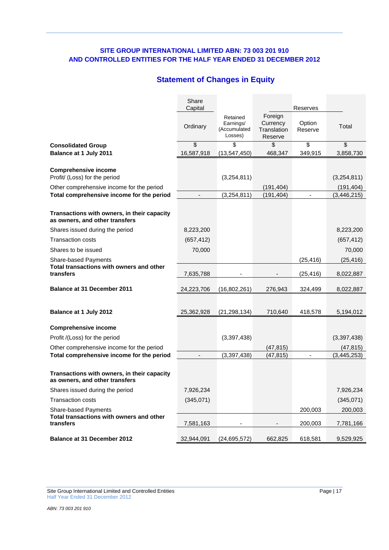# **Statement of Changes in Equity**

|                                                                               | Share<br>Capital |                                                  |                                               | Reserves          |               |
|-------------------------------------------------------------------------------|------------------|--------------------------------------------------|-----------------------------------------------|-------------------|---------------|
|                                                                               | Ordinary         | Retained<br>Earnings/<br>(Accumulated<br>Losses) | Foreign<br>Currency<br>Translation<br>Reserve | Option<br>Reserve | Total         |
| <b>Consolidated Group</b>                                                     | \$               | \$                                               | \$                                            | \$                | \$            |
| Balance at 1 July 2011                                                        | 16,587,918       | (13, 547, 450)                                   | 468,347                                       | 349,915           | 3,858,730     |
| <b>Comprehensive income</b><br>Profit/ (Loss) for the period                  |                  | (3,254,811)                                      |                                               |                   | (3,254,811)   |
| Other comprehensive income for the period                                     |                  |                                                  | (191, 404)                                    |                   | (191, 404)    |
| Total comprehensive income for the period                                     |                  | (3, 254, 811)                                    | (191, 404)                                    |                   | (3, 446, 215) |
| Transactions with owners, in their capacity<br>as owners, and other transfers |                  |                                                  |                                               |                   |               |
| Shares issued during the period                                               | 8,223,200        |                                                  |                                               |                   | 8,223,200     |
| <b>Transaction costs</b>                                                      | (657, 412)       |                                                  |                                               |                   | (657, 412)    |
| Shares to be issued                                                           | 70,000           |                                                  |                                               |                   | 70,000        |
| Share-based Payments                                                          |                  |                                                  |                                               | (25, 416)         | (25, 416)     |
| Total transactions with owners and other<br>transfers                         | 7,635,788        |                                                  |                                               | (25, 416)         | 8,022,887     |
| <b>Balance at 31 December 2011</b>                                            | 24,223,706       | (16,802,261)                                     | 276,943                                       | 324,499           | 8,022,887     |
| Balance at 1 July 2012                                                        | 25,362,928       | (21, 298, 134)                                   | 710,640                                       | 418,578           | 5,194,012     |
| <b>Comprehensive income</b>                                                   |                  |                                                  |                                               |                   |               |
| Profit /(Loss) for the period                                                 |                  | (3, 397, 438)                                    |                                               |                   | (3,397,438)   |
| Other comprehensive income for the period                                     |                  |                                                  | (47, 815)                                     |                   | (47, 815)     |
| Total comprehensive income for the period                                     |                  | (3, 397, 438)                                    | (47, 815)                                     |                   | (3,445,253)   |
|                                                                               |                  |                                                  |                                               |                   |               |
| Transactions with owners, in their capacity<br>as owners, and other transfers |                  |                                                  |                                               |                   |               |
| Shares issued during the period                                               | 7,926,234        |                                                  |                                               |                   | 7,926,234     |
| <b>Transaction costs</b>                                                      | (345,071)        |                                                  |                                               |                   | (345,071)     |
| Share-based Payments                                                          |                  |                                                  |                                               | 200,003           | 200,003       |
| Total transactions with owners and other<br>transfers                         | 7,581,163        |                                                  |                                               | 200,003           | 7,781,166     |
| <b>Balance at 31 December 2012</b>                                            | 32,944,091       | (24, 695, 572)                                   | 662,825                                       | 618,581           | 9,529,925     |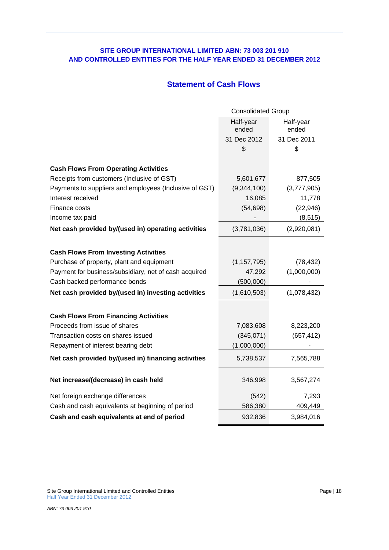# **Statement of Cash Flows**

|                                                        | <b>Consolidated Group</b> |                    |  |  |
|--------------------------------------------------------|---------------------------|--------------------|--|--|
|                                                        | Half-year<br>ended        | Half-year<br>ended |  |  |
|                                                        | 31 Dec 2012               | 31 Dec 2011        |  |  |
|                                                        | \$                        | \$                 |  |  |
| <b>Cash Flows From Operating Activities</b>            |                           |                    |  |  |
| Receipts from customers (Inclusive of GST)             | 5,601,677                 | 877,505            |  |  |
| Payments to suppliers and employees (Inclusive of GST) | (9,344,100)               | (3,777,905)        |  |  |
| Interest received                                      | 16,085                    | 11,778             |  |  |
| Finance costs                                          | (54, 698)                 | (22, 946)          |  |  |
| Income tax paid                                        |                           | (8, 515)           |  |  |
| Net cash provided by/(used in) operating activities    | (3,781,036)               | (2,920,081)        |  |  |
|                                                        |                           |                    |  |  |
| <b>Cash Flows From Investing Activities</b>            |                           |                    |  |  |
| Purchase of property, plant and equipment              | (1, 157, 795)             | (78, 432)          |  |  |
| Payment for business/subsidiary, net of cash acquired  | 47,292                    | (1,000,000)        |  |  |
| Cash backed performance bonds                          | (500,000)                 |                    |  |  |
| Net cash provided by/(used in) investing activities    | (1,610,503)               | (1,078,432)        |  |  |
| <b>Cash Flows From Financing Activities</b>            |                           |                    |  |  |
| Proceeds from issue of shares                          | 7,083,608                 | 8,223,200          |  |  |
| Transaction costs on shares issued                     | (345,071)                 | (657, 412)         |  |  |
| Repayment of interest bearing debt                     | (1,000,000)               |                    |  |  |
| Net cash provided by/(used in) financing activities    | 5,738,537                 | 7,565,788          |  |  |
| Net increase/(decrease) in cash held                   | 346,998                   | 3,567,274          |  |  |
| Net foreign exchange differences                       | (542)                     | 7,293              |  |  |
| Cash and cash equivalents at beginning of period       | 586,380                   | 409,449            |  |  |
| Cash and cash equivalents at end of period             | 932,836                   | 3,984,016          |  |  |

Site Group International Limited and Controlled Entities **Page 118** Page | 18 Half Year Ended 31 December 2012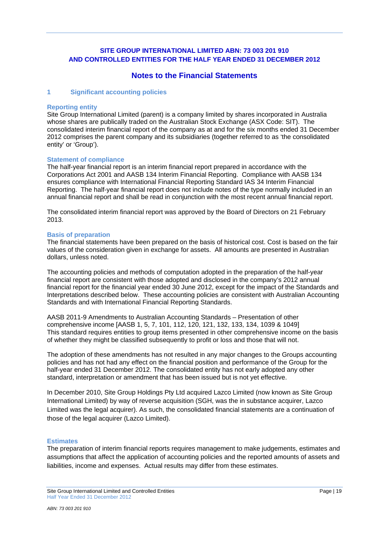# **Notes to the Financial Statements**

## **1 Significant accounting policies**

#### **Reporting entity**

Site Group International Limited (parent) is a company limited by shares incorporated in Australia whose shares are publically traded on the Australian Stock Exchange (ASX Code: SIT). The consolidated interim financial report of the company as at and for the six months ended 31 December 2012 comprises the parent company and its subsidiaries (together referred to as 'the consolidated entity' or 'Group').

### **Statement of compliance**

The half-year financial report is an interim financial report prepared in accordance with the Corporations Act 2001 and AASB 134 Interim Financial Reporting. Compliance with AASB 134 ensures compliance with International Financial Reporting Standard IAS 34 Interim Financial Reporting. The half-year financial report does not include notes of the type normally included in an annual financial report and shall be read in conjunction with the most recent annual financial report.

The consolidated interim financial report was approved by the Board of Directors on 21 February 2013.

#### **Basis of preparation**

The financial statements have been prepared on the basis of historical cost. Cost is based on the fair values of the consideration given in exchange for assets. All amounts are presented in Australian dollars, unless noted.

The accounting policies and methods of computation adopted in the preparation of the half-year financial report are consistent with those adopted and disclosed in the company's 2012 annual financial report for the financial year ended 30 June 2012, except for the impact of the Standards and Interpretations described below. These accounting policies are consistent with Australian Accounting Standards and with International Financial Reporting Standards.

AASB 2011-9 Amendments to Australian Accounting Standards – Presentation of other comprehensive income [AASB 1, 5, 7, 101, 112, 120, 121, 132, 133, 134, 1039 & 1049] This standard requires entities to group items presented in other comprehensive income on the basis of whether they might be classified subsequently to profit or loss and those that will not.

The adoption of these amendments has not resulted in any major changes to the Groups accounting policies and has not had any effect on the financial position and performance of the Group for the half-year ended 31 December 2012. The consolidated entity has not early adopted any other standard, interpretation or amendment that has been issued but is not yet effective.

In December 2010, Site Group Holdings Pty Ltd acquired Lazco Limited (now known as Site Group International Limited) by way of reverse acquisition (SGH, was the in substance acquirer, Lazco Limited was the legal acquirer). As such, the consolidated financial statements are a continuation of those of the legal acquirer (Lazco Limited).

### **Estimates**

The preparation of interim financial reports requires management to make judgements, estimates and assumptions that affect the application of accounting policies and the reported amounts of assets and liabilities, income and expenses. Actual results may differ from these estimates.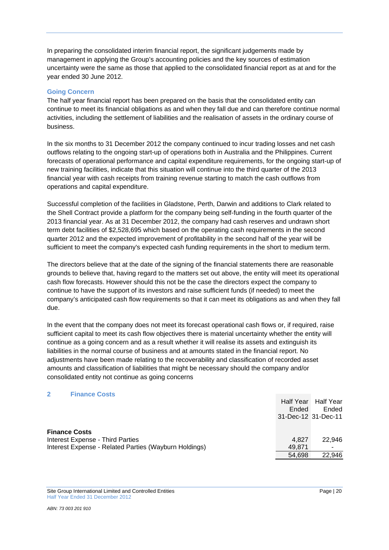In preparing the consolidated interim financial report, the significant judgements made by management in applying the Group's accounting policies and the key sources of estimation uncertainty were the same as those that applied to the consolidated financial report as at and for the year ended 30 June 2012.

## **Going Concern**

The half year financial report has been prepared on the basis that the consolidated entity can continue to meet its financial obligations as and when they fall due and can therefore continue normal activities, including the settlement of liabilities and the realisation of assets in the ordinary course of business.

In the six months to 31 December 2012 the company continued to incur trading losses and net cash outflows relating to the ongoing start-up of operations both in Australia and the Philippines. Current forecasts of operational performance and capital expenditure requirements, for the ongoing start-up of new training facilities, indicate that this situation will continue into the third quarter of the 2013 financial year with cash receipts from training revenue starting to match the cash outflows from operations and capital expenditure.

Successful completion of the facilities in Gladstone, Perth, Darwin and additions to Clark related to the Shell Contract provide a platform for the company being self-funding in the fourth quarter of the 2013 financial year. As at 31 December 2012, the company had cash reserves and undrawn short term debt facilities of \$2,528,695 which based on the operating cash requirements in the second quarter 2012 and the expected improvement of profitability in the second half of the year will be sufficient to meet the company's expected cash funding requirements in the short to medium term.

The directors believe that at the date of the signing of the financial statements there are reasonable grounds to believe that, having regard to the matters set out above, the entity will meet its operational cash flow forecasts. However should this not be the case the directors expect the company to continue to have the support of its investors and raise sufficient funds (if needed) to meet the company's anticipated cash flow requirements so that it can meet its obligations as and when they fall due.

In the event that the company does not meet its forecast operational cash flows or, if required, raise sufficient capital to meet its cash flow objectives there is material uncertainty whether the entity will continue as a going concern and as a result whether it will realise its assets and extinguish its liabilities in the normal course of business and at amounts stated in the financial report. No adjustments have been made relating to the recoverability and classification of recorded asset amounts and classification of liabilities that might be necessary should the company and/or consolidated entity not continue as going concerns

## **2 Finance Costs**

|                                                       | Half Year<br>Ended<br>31-Dec-12 31-Dec-11 | <b>Half Year</b><br>Ended |
|-------------------------------------------------------|-------------------------------------------|---------------------------|
| <b>Finance Costs</b>                                  |                                           |                           |
| <b>Interest Expense - Third Parties</b>               | 4.827                                     | 22.946                    |
| Interest Expense - Related Parties (Wayburn Holdings) | 49.871                                    |                           |
|                                                       | 54.698                                    | 22,946                    |

Site Group International Limited and Controlled Entities **Page | 20** Page | 20 Half Year Ended 31 December 2012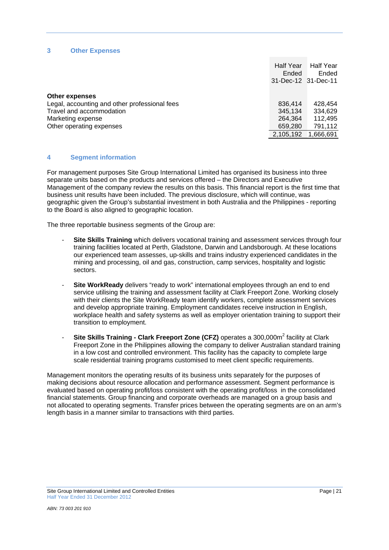## **3 Other Expenses**

|                                               | Half Year<br>Ended<br>31-Dec-12 31-Dec-11 | <b>Half Year</b><br>Ended |
|-----------------------------------------------|-------------------------------------------|---------------------------|
| Other expenses                                |                                           |                           |
| Legal, accounting and other professional fees | 836,414                                   | 428.454                   |
| Travel and accommodation                      | 345,134                                   | 334.629                   |
| Marketing expense                             | 264,364                                   | 112.495                   |
| Other operating expenses                      | 659,280                                   | 791,112                   |
|                                               | 2,105,192                                 | 1,666,691                 |

### **4 Segment information**

For management purposes Site Group International Limited has organised its business into three separate units based on the products and services offered – the Directors and Executive Management of the company review the results on this basis. This financial report is the first time that business unit results have been included. The previous disclosure, which will continue, was geographic given the Group's substantial investment in both Australia and the Philippines - reporting to the Board is also aligned to geographic location.

The three reportable business segments of the Group are:

- **Site Skills Training** which delivers vocational training and assessment services through four training facilities located at Perth, Gladstone, Darwin and Landsborough. At these locations our experienced team assesses, up-skills and trains industry experienced candidates in the mining and processing, oil and gas, construction, camp services, hospitality and logistic sectors.
- **Site WorkReady** delivers "ready to work" international employees through an end to end service utilising the training and assessment facility at Clark Freeport Zone. Working closely with their clients the Site WorkReady team identify workers, complete assessment services and develop appropriate training. Employment candidates receive instruction in English, workplace health and safety systems as well as employer orientation training to support their transition to employment.
- Site Skills Training Clark Freeport Zone (CFZ) operates a 300,000m<sup>2</sup> facility at Clark Freeport Zone in the Philippines allowing the company to deliver Australian standard training in a low cost and controlled environment. This facility has the capacity to complete large scale residential training programs customised to meet client specific requirements.

Management monitors the operating results of its business units separately for the purposes of making decisions about resource allocation and performance assessment. Segment performance is evaluated based on operating profit/loss consistent with the operating profit/loss in the consolidated financial statements. Group financing and corporate overheads are managed on a group basis and not allocated to operating segments. Transfer prices between the operating segments are on an arm's length basis in a manner similar to transactions with third parties.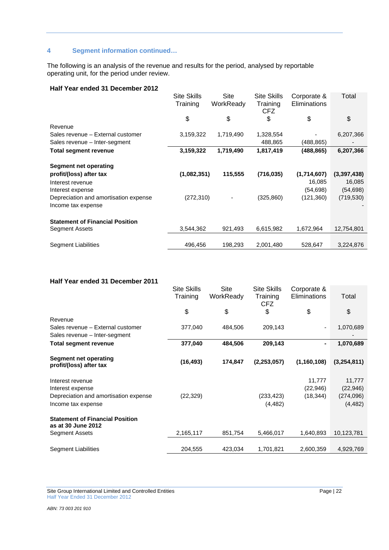# **4 Segment information continued…**

The following is an analysis of the revenue and results for the period, analysed by reportable operating unit, for the period under review.

## **Half Year ended 31 December 2012**

|                                        | <b>Site Skills</b><br>Training | Site<br>WorkReady | <b>Site Skills</b><br>Training<br><b>CFZ</b> | Corporate &<br>Eliminations | Total       |
|----------------------------------------|--------------------------------|-------------------|----------------------------------------------|-----------------------------|-------------|
|                                        | \$                             | \$                | \$                                           | \$                          | \$          |
| Revenue                                |                                |                   |                                              |                             |             |
| Sales revenue - External customer      | 3,159,322                      | 1,719,490         | 1,328,554                                    |                             | 6,207,366   |
| Sales revenue - Inter-segment          |                                |                   | 488,865                                      | (488, 865)                  |             |
| Total segment revenue                  | 3,159,322                      | 1,719,490         | 1,817,419                                    | (488,865)                   | 6,207,366   |
| <b>Segment net operating</b>           |                                |                   |                                              |                             |             |
| profit/(loss) after tax                | (1,082,351)                    | 115,555           | (716, 035)                                   | (1,714,607)                 | (3,397,438) |
| Interest revenue                       |                                |                   |                                              | 16,085                      | 16,085      |
| Interest expense                       |                                |                   |                                              | (54, 698)                   | (54, 698)   |
| Depreciation and amortisation expense  | (272, 310)                     |                   | (325, 860)                                   | (121, 360)                  | (719, 530)  |
| Income tax expense                     |                                |                   |                                              |                             |             |
| <b>Statement of Financial Position</b> |                                |                   |                                              |                             |             |
| Segment Assets                         | 3,544,362                      | 921,493           | 6,615,982                                    | 1,672,964                   | 12,754,801  |
|                                        |                                |                   |                                              |                             |             |
| <b>Segment Liabilities</b>             | 496,456                        | 198,293           | 2,001,480                                    | 528,647                     | 3,224,876   |

## **Half Year ended 31 December 2011**

|                                                              | <b>Site Skills</b> | Site      | <b>Site Skills</b>     | Corporate &   |             |
|--------------------------------------------------------------|--------------------|-----------|------------------------|---------------|-------------|
|                                                              | Training           | WorkReady | Training<br><b>CFZ</b> | Eliminations  | Total       |
|                                                              | \$                 | \$        | \$                     | \$            | \$          |
| Revenue                                                      |                    |           |                        |               |             |
| Sales revenue - External customer                            | 377,040            | 484,506   | 209,143                |               | 1,070,689   |
| Sales revenue – Inter-segment                                |                    |           |                        |               |             |
| <b>Total segment revenue</b>                                 | 377,040            | 484,506   | 209,143                |               | 1,070,689   |
| Segment net operating<br>profit/(loss) after tax             | (16, 493)          | 174,847   | (2,253,057)            | (1, 160, 108) | (3,254,811) |
| Interest revenue                                             |                    |           |                        | 11,777        | 11,777      |
| Interest expense                                             |                    |           |                        | (22, 946)     | (22, 946)   |
| Depreciation and amortisation expense                        | (22, 329)          |           | (233, 423)             | (18, 344)     | (274,096)   |
| Income tax expense                                           |                    |           | (4, 482)               |               | (4, 482)    |
| <b>Statement of Financial Position</b><br>as at 30 June 2012 |                    |           |                        |               |             |
| Segment Assets                                               | 2,165,117          | 851,754   | 5,466,017              | 1,640,893     | 10,123,781  |
|                                                              |                    |           |                        |               |             |
| Segment Liabilities                                          | 204,555            | 423,034   | 1,701,821              | 2,600,359     | 4,929,769   |

Site Group International Limited and Controlled Entities Page | 22 Half Year Ended 31 December 2012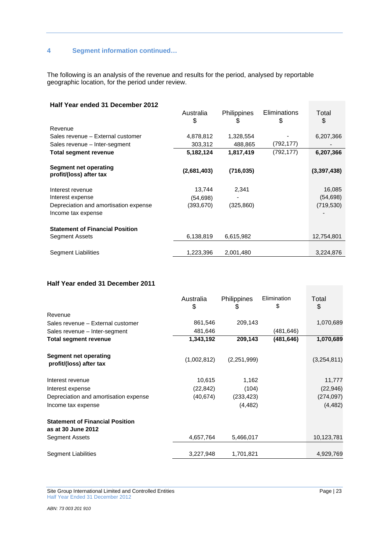# **4 Segment information continued…**

The following is an analysis of the revenue and results for the period, analysed by reportable geographic location, for the period under review.

| Half Year ended 31 December 2012                 |             |                    |                     |             |
|--------------------------------------------------|-------------|--------------------|---------------------|-------------|
|                                                  | Australia   | <b>Philippines</b> | <b>Eliminations</b> | Total       |
|                                                  | \$          | \$                 | \$                  | \$          |
| Revenue                                          |             |                    |                     |             |
| Sales revenue - External customer                | 4,878,812   | 1,328,554          |                     | 6,207,366   |
| Sales revenue – Inter-segment                    | 303,312     | 488,865            | (792,177)           |             |
| <b>Total segment revenue</b>                     | 5,182,124   | 1,817,419          | (792,177)           | 6,207,366   |
| Segment net operating<br>profit/(loss) after tax | (2,681,403) | (716, 035)         |                     | (3,397,438) |
| Interest revenue                                 | 13,744      | 2,341              |                     | 16,085      |
| Interest expense                                 | (54, 698)   |                    |                     | (54, 698)   |
| Depreciation and amortisation expense            | (393, 670)  | (325, 860)         |                     | (719, 530)  |
| Income tax expense                               |             |                    |                     |             |
| <b>Statement of Financial Position</b>           |             |                    |                     |             |
| Segment Assets                                   | 6,138,819   | 6,615,982          |                     | 12,754,801  |
|                                                  |             |                    |                     |             |
| Segment Liabilities                              | 1,223,396   | 2,001,480          |                     | 3,224,876   |

# **Half Year ended 31 December 2011**

|                                                  | Australia<br>\$ | Philippines<br>\$ | Elimination<br>\$ | Total<br>\$ |
|--------------------------------------------------|-----------------|-------------------|-------------------|-------------|
| Revenue                                          |                 |                   |                   |             |
| Sales revenue - External customer                | 861,546         | 209,143           |                   | 1,070,689   |
| Sales revenue – Inter-segment                    | 481,646         |                   | (481,646)         |             |
| Total segment revenue                            | 1,343,192       | 209,143           | (481, 646)        | 1,070,689   |
| Segment net operating<br>profit/(loss) after tax | (1,002,812)     | (2,251,999)       |                   | (3,254,811) |
| Interest revenue                                 | 10,615          | 1,162             |                   | 11,777      |
| Interest expense                                 | (22, 842)       | (104)             |                   | (22, 946)   |
| Depreciation and amortisation expense            | (40, 674)       | (233, 423)        |                   | (274, 097)  |
| Income tax expense                               |                 | (4, 482)          |                   | (4, 482)    |
| <b>Statement of Financial Position</b>           |                 |                   |                   |             |
| as at 30 June 2012                               |                 |                   |                   |             |
| <b>Segment Assets</b>                            | 4,657,764       | 5,466,017         |                   | 10,123,781  |
| <b>Segment Liabilities</b>                       | 3,227,948       | 1,701,821         |                   | 4,929,769   |

Site Group International Limited and Controlled Entities Page | 23 Half Year Ended 31 December 2012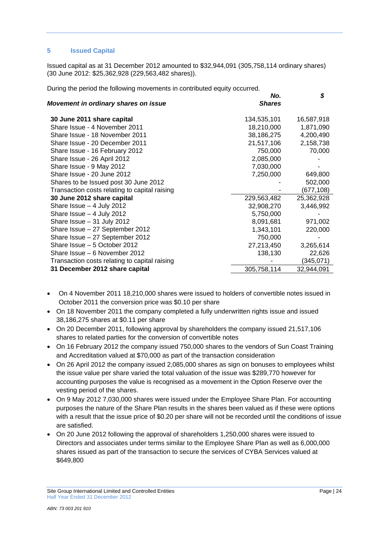## **5 Issued Capital**

Issued capital as at 31 December 2012 amounted to \$32,944,091 (305,758,114 ordinary shares) (30 June 2012: \$25,362,928 (229,563,482 shares)).

During the period the following movements in contributed equity occurred.

| Movement in ordinary shares on issue          | No.<br><b>Shares</b> | \$         |
|-----------------------------------------------|----------------------|------------|
| 30 June 2011 share capital                    | 134,535,101          | 16,587,918 |
| Share Issue - 4 November 2011                 | 18,210,000           | 1,871,090  |
| Share Issue - 18 November 2011                | 38,186,275           | 4,200,490  |
| Share Issue - 20 December 2011                | 21,517,106           | 2,158,738  |
| Share Issue - 16 February 2012                | 750,000              | 70,000     |
| Share Issue - 26 April 2012                   | 2,085,000            |            |
| Share Issue - 9 May 2012                      | 7,030,000            |            |
| Share Issue - 20 June 2012                    | 7,250,000            | 649,800    |
| Shares to be Issued post 30 June 2012         |                      | 502,000    |
| Transaction costs relating to capital raising |                      | (677,108)  |
| 30 June 2012 share capital                    | 229,563,482          | 25,362,928 |
| Share Issue $-4$ July 2012                    | 32,908,270           | 3,446,992  |
| Share Issue $-4$ July 2012                    | 5,750,000            |            |
| Share Issue $-31$ July 2012                   | 8,091,681            | 971,002    |
| Share Issue - 27 September 2012               | 1,343,101            | 220,000    |
| Share Issue - 27 September 2012               | 750,000              |            |
| Share Issue - 5 October 2012                  | 27,213,450           | 3,265,614  |
| Share Issue – 6 November 2012                 | 138,130              | 22,626     |
| Transaction costs relating to capital raising |                      | (345,071)  |
| 31 December 2012 share capital                | 305,758,114          | 32,944,091 |

- On 4 November 2011 18,210,000 shares were issued to holders of convertible notes issued in October 2011 the conversion price was \$0.10 per share
- On 18 November 2011 the company completed a fully underwritten rights issue and issued 38,186,275 shares at \$0.11 per share
- On 20 December 2011, following approval by shareholders the company issued 21,517,106 shares to related parties for the conversion of convertible notes
- On 16 February 2012 the company issued 750,000 shares to the vendors of Sun Coast Training and Accreditation valued at \$70,000 as part of the transaction consideration
- On 26 April 2012 the company issued 2,085,000 shares as sign on bonuses to employees whilst the issue value per share varied the total valuation of the issue was \$289,770 however for accounting purposes the value is recognised as a movement in the Option Reserve over the vesting period of the shares.
- On 9 May 2012 7,030,000 shares were issued under the Employee Share Plan. For accounting purposes the nature of the Share Plan results in the shares been valued as if these were options with a result that the issue price of \$0.20 per share will not be recorded until the conditions of issue are satisfied.
- On 20 June 2012 following the approval of shareholders 1,250,000 shares were issued to Directors and associates under terms similar to the Employee Share Plan as well as 6,000,000 shares issued as part of the transaction to secure the services of CYBA Services valued at \$649,800

Site Group International Limited and Controlled Entities **Page 124** Page 124 Half Year Ended 31 December 2012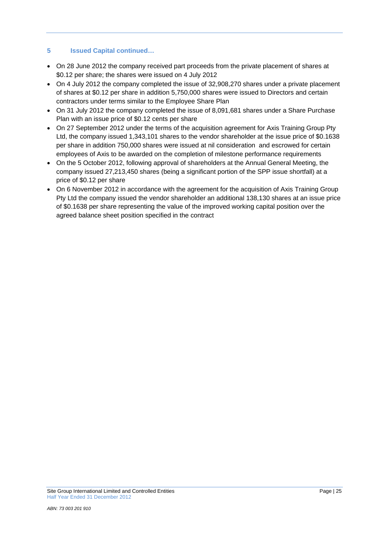# **5 Issued Capital continued…**

- On 28 June 2012 the company received part proceeds from the private placement of shares at \$0.12 per share; the shares were issued on 4 July 2012
- On 4 July 2012 the company completed the issue of 32,908,270 shares under a private placement of shares at \$0.12 per share in addition 5,750,000 shares were issued to Directors and certain contractors under terms similar to the Employee Share Plan
- On 31 July 2012 the company completed the issue of 8,091,681 shares under a Share Purchase Plan with an issue price of \$0.12 cents per share
- On 27 September 2012 under the terms of the acquisition agreement for Axis Training Group Pty Ltd, the company issued 1,343,101 shares to the vendor shareholder at the issue price of \$0.1638 per share in addition 750,000 shares were issued at nil consideration and escrowed for certain employees of Axis to be awarded on the completion of milestone performance requirements
- On the 5 October 2012, following approval of shareholders at the Annual General Meeting, the company issued 27,213,450 shares (being a significant portion of the SPP issue shortfall) at a price of \$0.12 per share
- On 6 November 2012 in accordance with the agreement for the acquisition of Axis Training Group Pty Ltd the company issued the vendor shareholder an additional 138,130 shares at an issue price of \$0.1638 per share representing the value of the improved working capital position over the agreed balance sheet position specified in the contract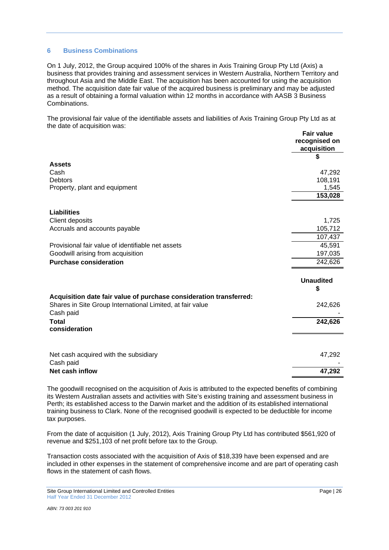## **6 Business Combinations**

On 1 July, 2012, the Group acquired 100% of the shares in Axis Training Group Pty Ltd (Axis) a business that provides training and assessment services in Western Australia, Northern Territory and throughout Asia and the Middle East. The acquisition has been accounted for using the acquisition method. The acquisition date fair value of the acquired business is preliminary and may be adjusted as a result of obtaining a formal valuation within 12 months in accordance with AASB 3 Business Combinations.

The provisional fair value of the identifiable assets and liabilities of Axis Training Group Pty Ltd as at the date of acquisition was:

|                                                                        | <b>Fair value</b><br>recognised on<br>acquisition |
|------------------------------------------------------------------------|---------------------------------------------------|
|                                                                        | \$                                                |
| <b>Assets</b>                                                          |                                                   |
| Cash                                                                   | 47,292                                            |
| <b>Debtors</b>                                                         | 108,191                                           |
| Property, plant and equipment                                          | 1,545                                             |
|                                                                        | 153,028                                           |
| <b>Liabilities</b>                                                     |                                                   |
| Client deposits                                                        | 1,725                                             |
| Accruals and accounts payable                                          | 105,712                                           |
|                                                                        | 107,437                                           |
| Provisional fair value of identifiable net assets                      | 45,591                                            |
| Goodwill arising from acquisition                                      | 197,035                                           |
| <b>Purchase consideration</b>                                          | 242,626                                           |
|                                                                        |                                                   |
|                                                                        | <b>Unaudited</b>                                  |
|                                                                        | \$                                                |
| Acquisition date fair value of purchase consideration transferred:     |                                                   |
| Shares in Site Group International Limited, at fair value<br>Cash paid | 242,626                                           |
| <b>Total</b>                                                           | 242,626                                           |
| consideration                                                          |                                                   |
|                                                                        |                                                   |
| Net cash acquired with the subsidiary                                  | 47,292                                            |
| Cash paid                                                              |                                                   |
| Net cash inflow                                                        | 47,292                                            |

The goodwill recognised on the acquisition of Axis is attributed to the expected benefits of combining its Western Australian assets and activities with Site's existing training and assessment business in Perth; its established access to the Darwin market and the addition of its established international training business to Clark. None of the recognised goodwill is expected to be deductible for income tax purposes.

From the date of acquisition (1 July, 2012), Axis Training Group Pty Ltd has contributed \$561,920 of revenue and \$251,103 of net profit before tax to the Group.

Transaction costs associated with the acquisition of Axis of \$18,339 have been expensed and are included in other expenses in the statement of comprehensive income and are part of operating cash flows in the statement of cash flows.

Site Group International Limited and Controlled Entities **Page | 26** Page | 26 Half Year Ended 31 December 2012